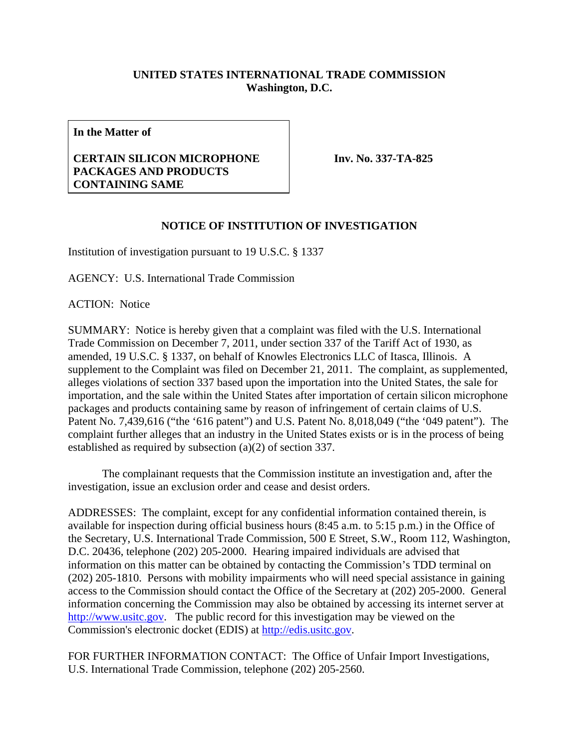## **UNITED STATES INTERNATIONAL TRADE COMMISSION Washington, D.C.**

**In the Matter of** 

## **CERTAIN SILICON MICROPHONE PACKAGES AND PRODUCTS CONTAINING SAME**

**Inv. No. 337-TA-825**

## **NOTICE OF INSTITUTION OF INVESTIGATION**

Institution of investigation pursuant to 19 U.S.C. § 1337

AGENCY: U.S. International Trade Commission

ACTION: Notice

SUMMARY: Notice is hereby given that a complaint was filed with the U.S. International Trade Commission on December 7, 2011, under section 337 of the Tariff Act of 1930, as amended, 19 U.S.C. § 1337, on behalf of Knowles Electronics LLC of Itasca, Illinois. A supplement to the Complaint was filed on December 21, 2011. The complaint, as supplemented, alleges violations of section 337 based upon the importation into the United States, the sale for importation, and the sale within the United States after importation of certain silicon microphone packages and products containing same by reason of infringement of certain claims of U.S. Patent No. 7,439,616 ("the '616 patent") and U.S. Patent No. 8,018,049 ("the '049 patent"). The complaint further alleges that an industry in the United States exists or is in the process of being established as required by subsection (a)(2) of section 337.

 The complainant requests that the Commission institute an investigation and, after the investigation, issue an exclusion order and cease and desist orders.

ADDRESSES: The complaint, except for any confidential information contained therein, is available for inspection during official business hours (8:45 a.m. to 5:15 p.m.) in the Office of the Secretary, U.S. International Trade Commission, 500 E Street, S.W., Room 112, Washington, D.C. 20436, telephone (202) 205-2000. Hearing impaired individuals are advised that information on this matter can be obtained by contacting the Commission's TDD terminal on (202) 205-1810. Persons with mobility impairments who will need special assistance in gaining access to the Commission should contact the Office of the Secretary at (202) 205-2000. General information concerning the Commission may also be obtained by accessing its internet server at http://www.usitc.gov. The public record for this investigation may be viewed on the Commission's electronic docket (EDIS) at http://edis.usitc.gov.

FOR FURTHER INFORMATION CONTACT: The Office of Unfair Import Investigations, U.S. International Trade Commission, telephone (202) 205-2560.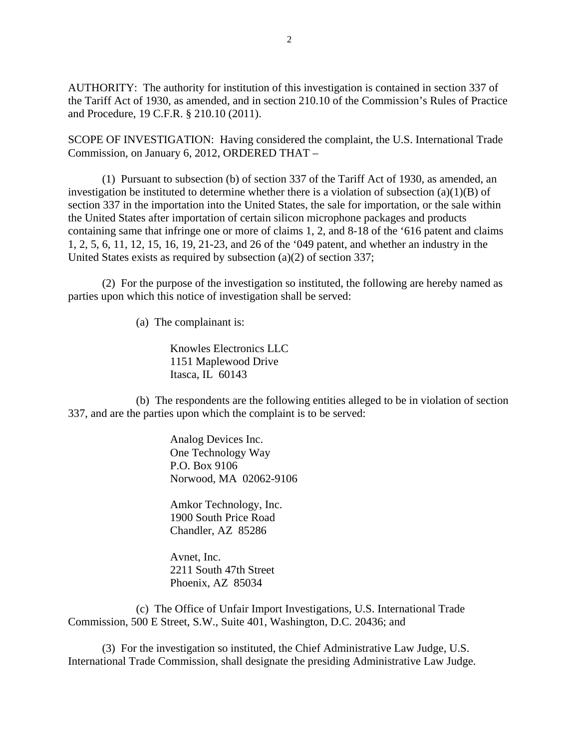AUTHORITY: The authority for institution of this investigation is contained in section 337 of the Tariff Act of 1930, as amended, and in section 210.10 of the Commission's Rules of Practice and Procedure, 19 C.F.R. § 210.10 (2011).

SCOPE OF INVESTIGATION: Having considered the complaint, the U.S. International Trade Commission, on January 6, 2012, ORDERED THAT –

 (1) Pursuant to subsection (b) of section 337 of the Tariff Act of 1930, as amended, an investigation be instituted to determine whether there is a violation of subsection  $(a)(1)(B)$  of section 337 in the importation into the United States, the sale for importation, or the sale within the United States after importation of certain silicon microphone packages and products containing same that infringe one or more of claims 1, 2, and 8-18 of the '616 patent and claims 1, 2, 5, 6, 11, 12, 15, 16, 19, 21-23, and 26 of the '049 patent, and whether an industry in the United States exists as required by subsection (a)(2) of section 337;

 (2) For the purpose of the investigation so instituted, the following are hereby named as parties upon which this notice of investigation shall be served:

(a) The complainant is:

 Knowles Electronics LLC 1151 Maplewood Drive Itasca, IL 60143

 (b) The respondents are the following entities alleged to be in violation of section 337, and are the parties upon which the complaint is to be served:

> Analog Devices Inc. One Technology Way P.O. Box 9106 Norwood, MA 02062-9106

 Amkor Technology, Inc. 1900 South Price Road Chandler, AZ 85286

 Avnet, Inc. 2211 South 47th Street Phoenix, AZ 85034

 (c) The Office of Unfair Import Investigations, U.S. International Trade Commission, 500 E Street, S.W., Suite 401, Washington, D.C. 20436; and

 (3) For the investigation so instituted, the Chief Administrative Law Judge, U.S. International Trade Commission, shall designate the presiding Administrative Law Judge.